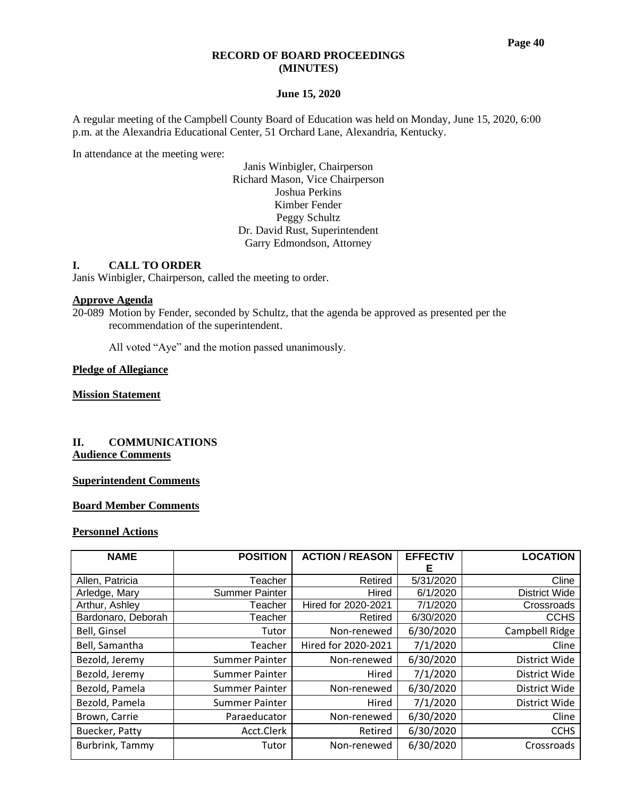#### **RECORD OF BOARD PROCEEDINGS (MINUTES)**

#### **June 15, 2020**

A regular meeting of the Campbell County Board of Education was held on Monday, June 15, 2020, 6:00 p.m. at the Alexandria Educational Center, 51 Orchard Lane, Alexandria, Kentucky.

In attendance at the meeting were:

Janis Winbigler, Chairperson Richard Mason, Vice Chairperson Joshua Perkins Kimber Fender Peggy Schultz Dr. David Rust, Superintendent Garry Edmondson, Attorney

#### **I. CALL TO ORDER**

Janis Winbigler, Chairperson, called the meeting to order.

#### **Approve Agenda**

20-089 Motion by Fender, seconded by Schultz, that the agenda be approved as presented per the recommendation of the superintendent.

All voted "Aye" and the motion passed unanimously.

#### **Pledge of Allegiance**

## **Mission Statement**

## **II. COMMUNICATIONS Audience Comments**

#### **Superintendent Comments**

## **Board Member Comments**

## **Personnel Actions**

| <b>NAME</b>        | <b>POSITION</b>       | <b>ACTION / REASON</b>          | <b>EFFECTIV</b> | <b>LOCATION</b>      |
|--------------------|-----------------------|---------------------------------|-----------------|----------------------|
|                    |                       |                                 | Е               |                      |
| Allen, Patricia    | Teacher               | Retired                         | 5/31/2020       | Cline                |
| Arledge, Mary      | <b>Summer Painter</b> | Hired                           | 6/1/2020        | <b>District Wide</b> |
| Arthur, Ashley     | Teacher               | Hired for 2020-2021<br>7/1/2020 |                 | Crossroads           |
| Bardonaro, Deborah | Teacher               | Retired<br>6/30/2020            |                 | <b>CCHS</b>          |
| Bell, Ginsel       | Tutor                 | Non-renewed                     | 6/30/2020       | Campbell Ridge       |
| Bell, Samantha     | Teacher               | Hired for 2020-2021             | 7/1/2020        | Cline                |
| Bezold, Jeremy     | Summer Painter        | Non-renewed                     | 6/30/2020       | District Wide        |
| Bezold, Jeremy     | <b>Summer Painter</b> | Hired                           | 7/1/2020        | District Wide        |
| Bezold, Pamela     | <b>Summer Painter</b> | Non-renewed                     | 6/30/2020       | District Wide        |
| Bezold, Pamela     | <b>Summer Painter</b> | Hired                           | 7/1/2020        | District Wide        |
| Brown, Carrie      | Paraeducator          | Non-renewed                     | 6/30/2020       | Cline                |
| Buecker, Patty     | Acct.Clerk            | Retired                         | 6/30/2020       | <b>CCHS</b>          |
| Burbrink, Tammy    | Tutor                 | Non-renewed                     | 6/30/2020       | Crossroads           |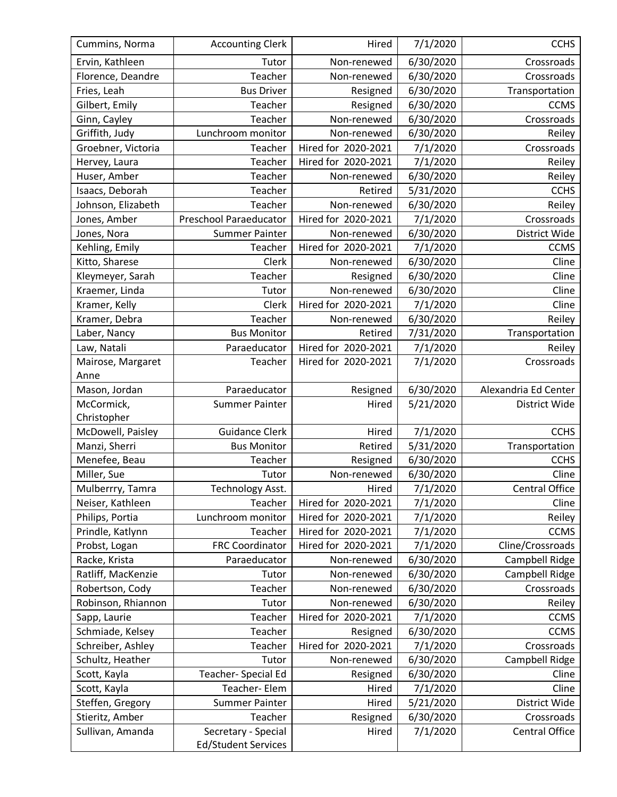| Cummins, Norma     | <b>Accounting Clerk</b>    | Hired                           | 7/1/2020  | <b>CCHS</b>           |  |
|--------------------|----------------------------|---------------------------------|-----------|-----------------------|--|
| Ervin, Kathleen    | Tutor                      | Non-renewed                     | 6/30/2020 | Crossroads            |  |
| Florence, Deandre  | Teacher                    | Non-renewed                     | 6/30/2020 | Crossroads            |  |
| Fries, Leah        | <b>Bus Driver</b>          | Resigned                        | 6/30/2020 | Transportation        |  |
| Gilbert, Emily     | Teacher                    | Resigned                        | 6/30/2020 | <b>CCMS</b>           |  |
| Ginn, Cayley       | Teacher                    | Non-renewed                     | 6/30/2020 | Crossroads            |  |
| Griffith, Judy     | Lunchroom monitor          | Non-renewed                     | 6/30/2020 | Reiley                |  |
| Groebner, Victoria | Teacher                    | Hired for 2020-2021             | 7/1/2020  | Crossroads            |  |
| Hervey, Laura      | Teacher                    | Hired for 2020-2021             | 7/1/2020  | Reiley                |  |
| Huser, Amber       | Teacher                    | Non-renewed                     | 6/30/2020 | Reiley                |  |
| Isaacs, Deborah    | Teacher                    | Retired                         | 5/31/2020 | <b>CCHS</b>           |  |
| Johnson, Elizabeth | Teacher                    | Non-renewed                     | 6/30/2020 | Reiley                |  |
| Jones, Amber       | Preschool Paraeducator     | Hired for 2020-2021<br>7/1/2020 |           | Crossroads            |  |
| Jones, Nora        | <b>Summer Painter</b>      | 6/30/2020<br>Non-renewed        |           | District Wide         |  |
| Kehling, Emily     | Teacher                    | Hired for 2020-2021<br>7/1/2020 |           | <b>CCMS</b>           |  |
| Kitto, Sharese     | Clerk                      | Non-renewed                     | 6/30/2020 | Cline                 |  |
| Kleymeyer, Sarah   | Teacher                    | Resigned                        | 6/30/2020 | Cline                 |  |
| Kraemer, Linda     | Tutor                      | Non-renewed                     | 6/30/2020 | Cline                 |  |
| Kramer, Kelly      | Clerk                      | Hired for 2020-2021             | 7/1/2020  | Cline                 |  |
| Kramer, Debra      | Teacher                    | Non-renewed                     | 6/30/2020 | Reiley                |  |
| Laber, Nancy       | <b>Bus Monitor</b>         | Retired                         | 7/31/2020 | Transportation        |  |
| Law, Natali        | Paraeducator               | Hired for 2020-2021             | 7/1/2020  | Reiley                |  |
| Mairose, Margaret  | Teacher                    | Hired for 2020-2021             | 7/1/2020  | Crossroads            |  |
| Anne               |                            |                                 |           |                       |  |
| Mason, Jordan      | Paraeducator               | Resigned                        | 6/30/2020 | Alexandria Ed Center  |  |
| McCormick,         | <b>Summer Painter</b>      | Hired                           | 5/21/2020 | District Wide         |  |
| Christopher        |                            |                                 |           |                       |  |
| McDowell, Paisley  | <b>Guidance Clerk</b>      | Hired                           | 7/1/2020  | <b>CCHS</b>           |  |
| Manzi, Sherri      | <b>Bus Monitor</b>         | Retired                         | 5/31/2020 | Transportation        |  |
| Menefee, Beau      | Teacher                    | 6/30/2020<br>Resigned           |           | <b>CCHS</b>           |  |
| Miller, Sue        | Tutor                      | Non-renewed                     | 6/30/2020 | Cline                 |  |
| Mulberrry, Tamra   | Technology Asst.           | Hired                           | 7/1/2020  | <b>Central Office</b> |  |
| Neiser, Kathleen   | Teacher                    | Hired for 2020-2021             | 7/1/2020  | Cline                 |  |
| Philips, Portia    | Lunchroom monitor          | Hired for 2020-2021             | 7/1/2020  | Reiley                |  |
| Prindle, Katlynn   | Teacher                    | Hired for 2020-2021             | 7/1/2020  | <b>CCMS</b>           |  |
| Probst, Logan      | <b>FRC Coordinator</b>     | Hired for 2020-2021             | 7/1/2020  | Cline/Crossroads      |  |
| Racke, Krista      | Paraeducator               | Non-renewed                     | 6/30/2020 | Campbell Ridge        |  |
| Ratliff, MacKenzie | Tutor                      | Non-renewed                     | 6/30/2020 | Campbell Ridge        |  |
| Robertson, Cody    | Teacher                    | Non-renewed                     | 6/30/2020 | Crossroads            |  |
| Robinson, Rhiannon | Tutor                      | Non-renewed                     | 6/30/2020 | Reiley                |  |
| Sapp, Laurie       | Teacher                    | Hired for 2020-2021             | 7/1/2020  | <b>CCMS</b>           |  |
| Schmiade, Kelsey   | Teacher                    | Resigned                        | 6/30/2020 | <b>CCMS</b>           |  |
| Schreiber, Ashley  | Teacher                    | Hired for 2020-2021             | 7/1/2020  | Crossroads            |  |
| Schultz, Heather   | Tutor                      | Non-renewed                     | 6/30/2020 | Campbell Ridge        |  |
| Scott, Kayla       | Teacher- Special Ed        | Resigned                        | 6/30/2020 | Cline                 |  |
| Scott, Kayla       | Teacher-Elem               | Hired                           | 7/1/2020  | Cline                 |  |
| Steffen, Gregory   | <b>Summer Painter</b>      | Hired                           | 5/21/2020 | District Wide         |  |
| Stieritz, Amber    | Teacher                    | Resigned                        | 6/30/2020 | Crossroads            |  |
| Sullivan, Amanda   | Secretary - Special        | Hired                           | 7/1/2020  | <b>Central Office</b> |  |
|                    | <b>Ed/Student Services</b> |                                 |           |                       |  |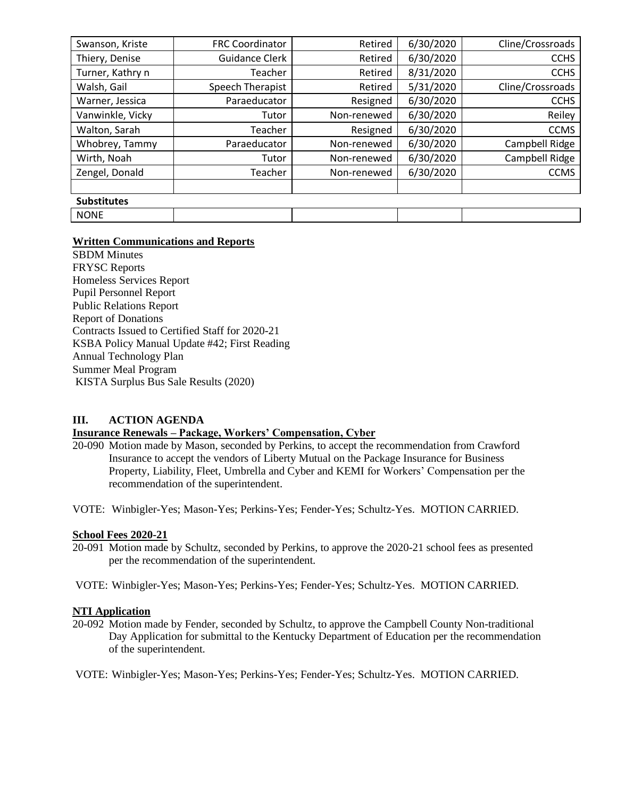| Swanson, Kriste    | <b>FRC Coordinator</b> | 6/30/2020<br>Retired |           | Cline/Crossroads |  |
|--------------------|------------------------|----------------------|-----------|------------------|--|
| Thiery, Denise     | Guidance Clerk         | Retired              | 6/30/2020 | <b>CCHS</b>      |  |
| Turner, Kathry n   | Teacher                | Retired              | 8/31/2020 | <b>CCHS</b>      |  |
| Walsh, Gail        | Speech Therapist       | Retired              | 5/31/2020 | Cline/Crossroads |  |
| Warner, Jessica    | Paraeducator           | Resigned             | 6/30/2020 | <b>CCHS</b>      |  |
| Vanwinkle, Vicky   | Tutor                  | Non-renewed          | 6/30/2020 | Reiley           |  |
| Walton, Sarah      | Teacher                | Resigned             | 6/30/2020 | <b>CCMS</b>      |  |
| Whobrey, Tammy     | Paraeducator           | Non-renewed          | 6/30/2020 | Campbell Ridge   |  |
| Wirth, Noah        | Tutor                  | Non-renewed          | 6/30/2020 | Campbell Ridge   |  |
| Zengel, Donald     | Teacher                | Non-renewed          | 6/30/2020 | <b>CCMS</b>      |  |
|                    |                        |                      |           |                  |  |
| <b>Substitutes</b> |                        |                      |           |                  |  |
| <b>NONE</b>        |                        |                      |           |                  |  |

## **Written Communications and Reports**

SBDM Minutes FRYSC Reports Homeless Services Report Pupil Personnel Report Public Relations Report Report of Donations Contracts Issued to Certified Staff for 2020-21 KSBA Policy Manual Update #42; First Reading Annual Technology Plan Summer Meal Program KISTA Surplus Bus Sale Results (2020)

#### **III. ACTION AGENDA**

#### **Insurance Renewals – Package, Workers' Compensation, Cyber**

- 20-090 Motion made by Mason, seconded by Perkins, to accept the recommendation from Crawford Insurance to accept the vendors of Liberty Mutual on the Package Insurance for Business Property, Liability, Fleet, Umbrella and Cyber and KEMI for Workers' Compensation per the recommendation of the superintendent.
- VOTE: Winbigler-Yes; Mason-Yes; Perkins-Yes; Fender-Yes; Schultz-Yes. MOTION CARRIED.

#### **School Fees 2020-21**

20-091 Motion made by Schultz, seconded by Perkins, to approve the 2020-21 school fees as presented per the recommendation of the superintendent.

VOTE: Winbigler-Yes; Mason-Yes; Perkins-Yes; Fender-Yes; Schultz-Yes. MOTION CARRIED.

#### **NTI Application**

20-092 Motion made by Fender, seconded by Schultz, to approve the Campbell County Non-traditional Day Application for submittal to the Kentucky Department of Education per the recommendation of the superintendent.

VOTE: Winbigler-Yes; Mason-Yes; Perkins-Yes; Fender-Yes; Schultz-Yes. MOTION CARRIED.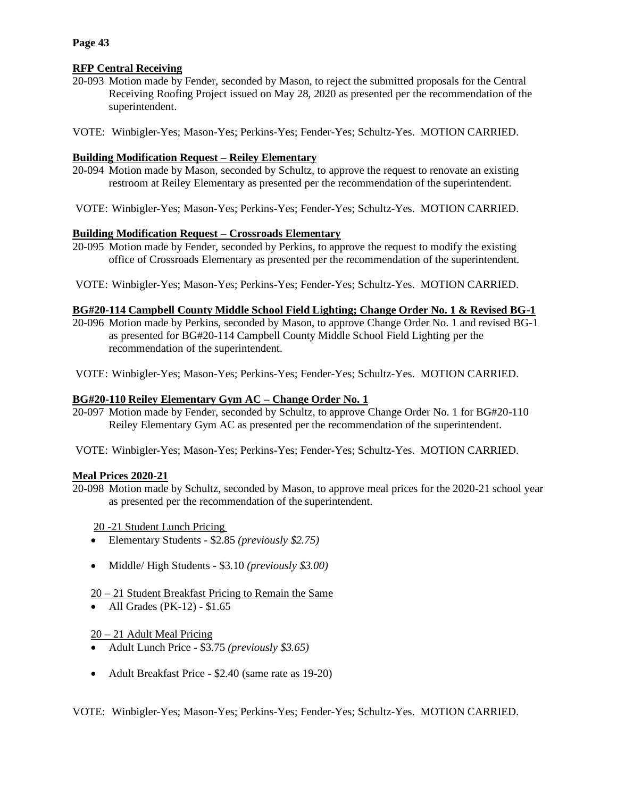## **Page 43**

# **RFP Central Receiving**

- 20-093 Motion made by Fender, seconded by Mason, to reject the submitted proposals for the Central Receiving Roofing Project issued on May 28, 2020 as presented per the recommendation of the superintendent.
- VOTE: Winbigler-Yes; Mason-Yes; Perkins-Yes; Fender-Yes; Schultz-Yes. MOTION CARRIED.

# **Building Modification Request – Reiley Elementary**

- 20-094 Motion made by Mason, seconded by Schultz, to approve the request to renovate an existing restroom at Reiley Elementary as presented per the recommendation of the superintendent.
- VOTE: Winbigler-Yes; Mason-Yes; Perkins-Yes; Fender-Yes; Schultz-Yes. MOTION CARRIED.

## **Building Modification Request – Crossroads Elementary**

- 20-095 Motion made by Fender, seconded by Perkins, to approve the request to modify the existing office of Crossroads Elementary as presented per the recommendation of the superintendent.
- VOTE: Winbigler-Yes; Mason-Yes; Perkins-Yes; Fender-Yes; Schultz-Yes. MOTION CARRIED.

## **BG#20-114 Campbell County Middle School Field Lighting; Change Order No. 1 & Revised BG-1**

- 20-096 Motion made by Perkins, seconded by Mason, to approve Change Order No. 1 and revised BG-1 as presented for BG#20-114 Campbell County Middle School Field Lighting per the recommendation of the superintendent.
- VOTE: Winbigler-Yes; Mason-Yes; Perkins-Yes; Fender-Yes; Schultz-Yes. MOTION CARRIED.

## **BG#20-110 Reiley Elementary Gym AC – Change Order No. 1**

- 20-097 Motion made by Fender, seconded by Schultz, to approve Change Order No. 1 for BG#20-110 Reiley Elementary Gym AC as presented per the recommendation of the superintendent.
- VOTE: Winbigler-Yes; Mason-Yes; Perkins-Yes; Fender-Yes; Schultz-Yes. MOTION CARRIED.

## **Meal Prices 2020-21**

- 20-098 Motion made by Schultz, seconded by Mason, to approve meal prices for the 2020-21 school year as presented per the recommendation of the superintendent.
	- 20 -21 Student Lunch Pricing
	- Elementary Students \$2.85 *(previously \$2.75)*
	- Middle/ High Students \$3.10 *(previously \$3.00)*

## 20 – 21 Student Breakfast Pricing to Remain the Same

• All Grades (PK-12) - \$1.65

# 20 – 21 Adult Meal Pricing

- Adult Lunch Price \$3.75 *(previously \$3.65)*
- Adult Breakfast Price \$2.40 (same rate as 19-20)

VOTE: Winbigler-Yes; Mason-Yes; Perkins-Yes; Fender-Yes; Schultz-Yes. MOTION CARRIED.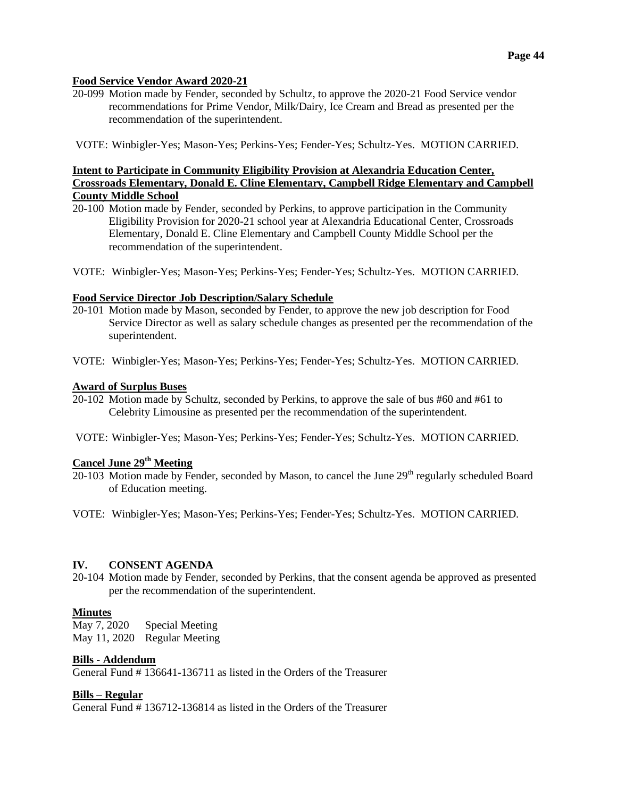#### **Food Service Vendor Award 2020-21**

20-099 Motion made by Fender, seconded by Schultz, to approve the 2020-21 Food Service vendor recommendations for Prime Vendor, Milk/Dairy, Ice Cream and Bread as presented per the recommendation of the superintendent.

VOTE: Winbigler-Yes; Mason-Yes; Perkins-Yes; Fender-Yes; Schultz-Yes. MOTION CARRIED.

## **Intent to Participate in Community Eligibility Provision at Alexandria Education Center, Crossroads Elementary, Donald E. Cline Elementary, Campbell Ridge Elementary and Campbell County Middle School**

- 20-100 Motion made by Fender, seconded by Perkins, to approve participation in the Community Eligibility Provision for 2020-21 school year at Alexandria Educational Center, Crossroads Elementary, Donald E. Cline Elementary and Campbell County Middle School per the recommendation of the superintendent.
- VOTE: Winbigler-Yes; Mason-Yes; Perkins-Yes; Fender-Yes; Schultz-Yes. MOTION CARRIED.

#### **Food Service Director Job Description/Salary Schedule**

- 20-101 Motion made by Mason, seconded by Fender, to approve the new job description for Food Service Director as well as salary schedule changes as presented per the recommendation of the superintendent.
- VOTE: Winbigler-Yes; Mason-Yes; Perkins-Yes; Fender-Yes; Schultz-Yes. MOTION CARRIED.

#### **Award of Surplus Buses**

- 20-102 Motion made by Schultz, seconded by Perkins, to approve the sale of bus #60 and #61 to Celebrity Limousine as presented per the recommendation of the superintendent.
- VOTE: Winbigler-Yes; Mason-Yes; Perkins-Yes; Fender-Yes; Schultz-Yes. MOTION CARRIED.

# **Cancel June 29th Meeting**

- $20-103$  Motion made by Fender, seconded by Mason, to cancel the June  $29<sup>th</sup>$  regularly scheduled Board of Education meeting.
- VOTE: Winbigler-Yes; Mason-Yes; Perkins-Yes; Fender-Yes; Schultz-Yes. MOTION CARRIED.

## **IV. CONSENT AGENDA**

20-104 Motion made by Fender, seconded by Perkins, that the consent agenda be approved as presented per the recommendation of the superintendent.

## **Minutes**

May 7, 2020 Special Meeting May 11, 2020 Regular Meeting

#### **Bills - Addendum**

General Fund # 136641-136711 as listed in the Orders of the Treasurer

#### **Bills – Regular**

General Fund # 136712-136814 as listed in the Orders of the Treasurer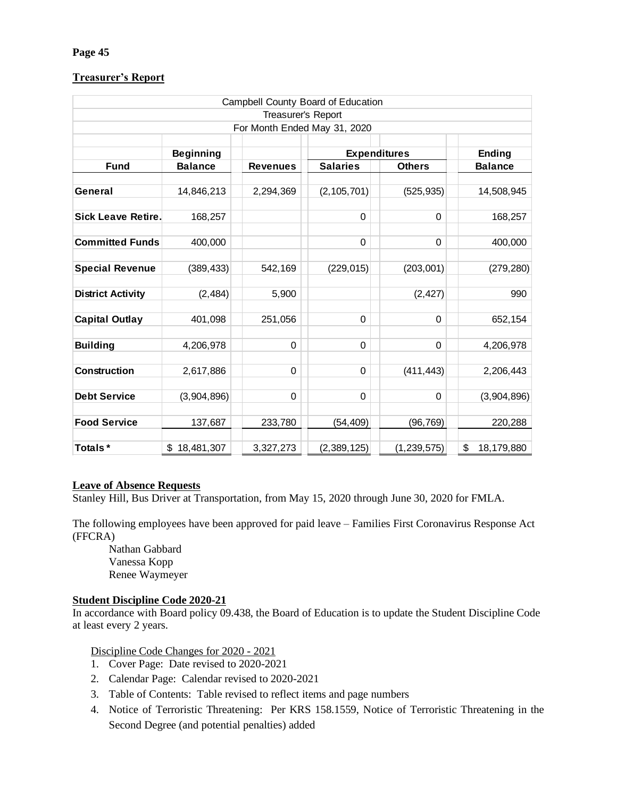# **Treasurer's Report**

|                                                                                                                                                                                                                                                                                                         |                                                                                                                                                                                                           |                                                    | Campbell County Board of Education |               |                                                                                                |
|---------------------------------------------------------------------------------------------------------------------------------------------------------------------------------------------------------------------------------------------------------------------------------------------------------|-----------------------------------------------------------------------------------------------------------------------------------------------------------------------------------------------------------|----------------------------------------------------|------------------------------------|---------------|------------------------------------------------------------------------------------------------|
|                                                                                                                                                                                                                                                                                                         |                                                                                                                                                                                                           | Treasurer's Report<br>For Month Ended May 31, 2020 |                                    |               |                                                                                                |
|                                                                                                                                                                                                                                                                                                         |                                                                                                                                                                                                           |                                                    |                                    |               |                                                                                                |
|                                                                                                                                                                                                                                                                                                         | <b>Beginning</b>                                                                                                                                                                                          |                                                    | <b>Expenditures</b>                |               | <b>Ending</b>                                                                                  |
| <b>Fund</b>                                                                                                                                                                                                                                                                                             | <b>Balance</b>                                                                                                                                                                                            | <b>Revenues</b>                                    | <b>Salaries</b>                    | <b>Others</b> | <b>Balance</b>                                                                                 |
| General                                                                                                                                                                                                                                                                                                 | 14,846,213                                                                                                                                                                                                | 2,294,369                                          | (2, 105, 701)                      | (525, 935)    | 14,508,945                                                                                     |
| <b>Sick Leave Retire.</b>                                                                                                                                                                                                                                                                               | 168,257                                                                                                                                                                                                   |                                                    | 0                                  | 0             | 168,257                                                                                        |
| <b>Committed Funds</b>                                                                                                                                                                                                                                                                                  | 400,000                                                                                                                                                                                                   |                                                    | 0                                  | 0             | 400,000                                                                                        |
| <b>Special Revenue</b>                                                                                                                                                                                                                                                                                  | (389, 433)                                                                                                                                                                                                | 542,169                                            | (229, 015)                         | (203,001)     | (279, 280)                                                                                     |
| <b>District Activity</b>                                                                                                                                                                                                                                                                                | (2, 484)                                                                                                                                                                                                  | 5,900                                              |                                    | (2, 427)      | 990                                                                                            |
| <b>Capital Outlay</b>                                                                                                                                                                                                                                                                                   | 401,098                                                                                                                                                                                                   | 251,056                                            | 0                                  | 0             | 652,154                                                                                        |
| <b>Building</b>                                                                                                                                                                                                                                                                                         | 4,206,978                                                                                                                                                                                                 | $\Omega$                                           | 0                                  | 0             | 4,206,978                                                                                      |
| Construction                                                                                                                                                                                                                                                                                            | 2,617,886                                                                                                                                                                                                 | 0                                                  | 0                                  | (411, 443)    | 2,206,443                                                                                      |
| <b>Debt Service</b>                                                                                                                                                                                                                                                                                     | (3,904,896)                                                                                                                                                                                               | 0                                                  | 0                                  | 0             | (3,904,896)                                                                                    |
| <b>Food Service</b>                                                                                                                                                                                                                                                                                     | 137,687                                                                                                                                                                                                   | 233,780                                            | (54, 409)                          | (96, 769)     | 220,288                                                                                        |
| Totals*                                                                                                                                                                                                                                                                                                 | \$18,481,307                                                                                                                                                                                              | 3,327,273                                          | (2,389,125)                        | (1, 239, 575) | \$<br>18,179,880                                                                               |
| <b>Leave of Absence Requests</b><br>Stanley Hill, Bus Driver at Transportation, from May 15, 2020 through June 30, 2020 for FMLA.<br>The following employees have been approved for paid leave – Families First Coronavirus Response Act<br>(FFCRA)<br>Nathan Gabbard<br>Vanessa Kopp<br>Renee Waymeyer |                                                                                                                                                                                                           |                                                    |                                    |               |                                                                                                |
| <b>Student Discipline Code 2020-21</b><br>In accordance with Board policy 09.438, the Board of Education is to update the Student Discipline Cod<br>at least every 2 years.<br>2.<br>3.                                                                                                                 | Discipline Code Changes for 2020 - 2021<br>1. Cover Page: Date revised to 2020-2021<br>Calendar Page: Calendar revised to 2020-2021<br>Table of Contents: Table revised to reflect items and page numbers |                                                    |                                    |               | 4. Notice of Terroristic Threatening: Per KRS 158.1559, Notice of Terroristic Threatening in t |
|                                                                                                                                                                                                                                                                                                         | Second Degree (and potential penalties) added                                                                                                                                                             |                                                    |                                    |               |                                                                                                |

## **Leave of Absence Requests**

# **Student Discipline Code 2020-21**

- 1. Cover Page: Date revised to 2020-2021
- 2. Calendar Page: Calendar revised to 2020-2021
- 3. Table of Contents: Table revised to reflect items and page numbers
- 4. Notice of Terroristic Threatening: Per KRS 158.1559, Notice of Terroristic Threatening in the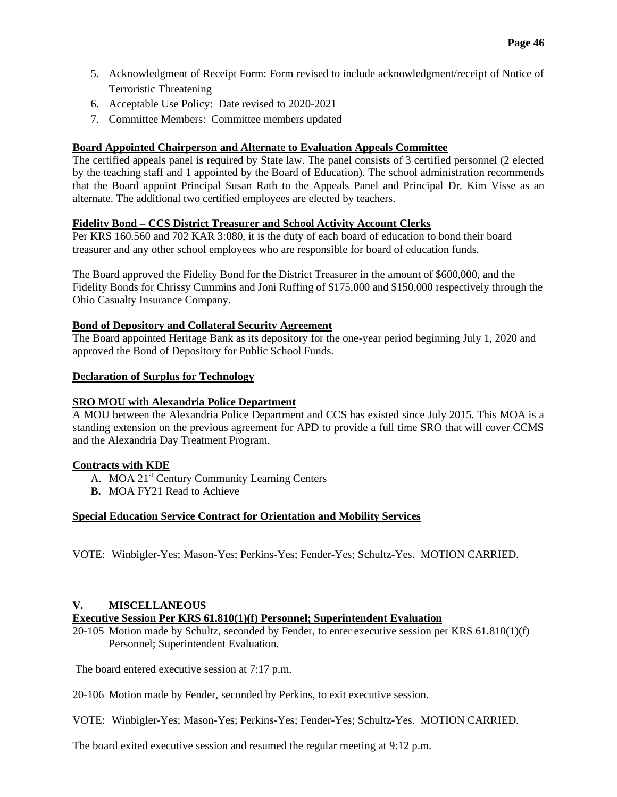- 5. Acknowledgment of Receipt Form: Form revised to include acknowledgment/receipt of Notice of Terroristic Threatening
- 6. Acceptable Use Policy: Date revised to 2020-2021
- 7. Committee Members: Committee members updated

## **Board Appointed Chairperson and Alternate to Evaluation Appeals Committee**

The certified appeals panel is required by State law. The panel consists of 3 certified personnel (2 elected by the teaching staff and 1 appointed by the Board of Education). The school administration recommends that the Board appoint Principal Susan Rath to the Appeals Panel and Principal Dr. Kim Visse as an alternate. The additional two certified employees are elected by teachers.

## **Fidelity Bond – CCS District Treasurer and School Activity Account Clerks**

Per KRS 160.560 and 702 KAR 3:080, it is the duty of each board of education to bond their board treasurer and any other school employees who are responsible for board of education funds.

The Board approved the Fidelity Bond for the District Treasurer in the amount of \$600,000, and the Fidelity Bonds for Chrissy Cummins and Joni Ruffing of \$175,000 and \$150,000 respectively through the Ohio Casualty Insurance Company.

## **Bond of Depository and Collateral Security Agreement**

The Board appointed Heritage Bank as its depository for the one-year period beginning July 1, 2020 and approved the Bond of Depository for Public School Funds.

## **Declaration of Surplus for Technology**

## **SRO MOU with Alexandria Police Department**

A MOU between the Alexandria Police Department and CCS has existed since July 2015. This MOA is a standing extension on the previous agreement for APD to provide a full time SRO that will cover CCMS and the Alexandria Day Treatment Program.

## **Contracts with KDE**

- A. MOA 21<sup>st</sup> Century Community Learning Centers
- **B.** MOA FY21 Read to Achieve

## **Special Education Service Contract for Orientation and Mobility Services**

VOTE: Winbigler-Yes; Mason-Yes; Perkins-Yes; Fender-Yes; Schultz-Yes. MOTION CARRIED.

## **V. MISCELLANEOUS**

## **Executive Session Per KRS 61.810(1)(f) Personnel; Superintendent Evaluation**

20-105 Motion made by Schultz, seconded by Fender, to enter executive session per KRS 61.810(1)(f) Personnel; Superintendent Evaluation.

The board entered executive session at 7:17 p.m.

20-106 Motion made by Fender, seconded by Perkins, to exit executive session.

VOTE: Winbigler-Yes; Mason-Yes; Perkins-Yes; Fender-Yes; Schultz-Yes. MOTION CARRIED.

The board exited executive session and resumed the regular meeting at 9:12 p.m.